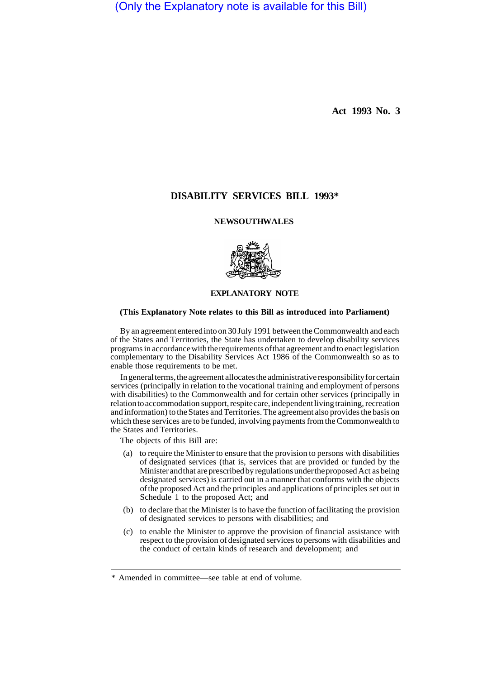(Only the Explanatory note is available for this Bill)

**Act 1993 No. 3** 

# **DISABILITY SERVICES BILL 1993\***

### **NEWSOUTHWALES**



# **EXPLANATORY NOTE**

#### **(This Explanatory Note relates to this Bill as introduced into Parliament)**

By an agreement entered into on 30 July 1991 between the Commonwealth and each of the States and Territories, the State has undertaken to develop disability services programs in accordance with the requirements of that agreement and to enact legislation complementary to the Disability Services Act 1986 of the Commonwealth so as to enable those requirements to be met.

In general terms, the agreement allocates the administrative responsibility for certain services (principally in relation to the vocational training and employment of persons with disabilities) to the Commonwealth and for certain other services (principally in relation to accommodation support, respite care, independent living training, recreation and information) to the States and Territories. The agreement also provides the basis on which these services are to be funded, involving payments from the Commonwealth to the States and Territories.

The objects of this Bill are:

- (a) to require the Minister to ensure that the provision to persons with disabilities of designated services (that is, services that are provided or funded by the Minister and that are prescribed by regulations under the proposed Act as being designated services) is carried out in a manner that conforms with the objects of the proposed Act and the principles and applications of principles set out in Schedule 1 to the proposed Act; and
- (b) to declare that the Minister is to have the function of facilitating the provision of designated services to persons with disabilities; and
- (c) to enable the Minister to approve the provision of financial assistance with respect to the provision of designated services to persons with disabilities and the conduct of certain kinds of research and development; and

<sup>\*</sup> Amended in committee—see table at end of volume.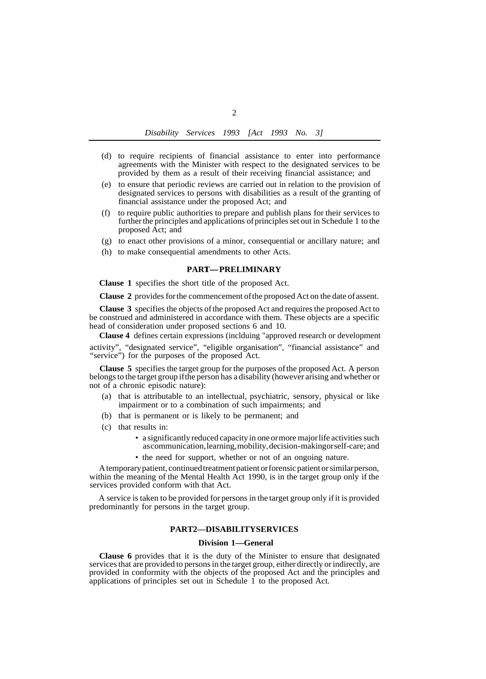- (d) to require recipients of financial assistance to enter into performance agreements with the Minister with respect to the designated services to be provided by them as a result of their receiving financial assistance; and
- (e) to ensure that periodic reviews are carried out in relation to the provision of designated services to persons with disabilities as a result of the granting of financial assistance under the proposed Act; and
- (f) to require public authorities to prepare and publish plans for their services to further the principles and applications of principles set out in Schedule 1 to the proposed Act; and
- (g) to enact other provisions of a minor, consequential or ancillary nature; and
- (h) to make consequential amendments to other Acts.<br> **PART—PRELIMINARY**

**Clause 1** specifies the short title of the proposed Act.

**Clause 2** provides for the commencement of the proposed Act on the date of assent.

**Clause 3** specifies the objects of the proposed Act and requires the proposed Act to be construed and administered in accordance with them. These objects are a specific head of consideration under proposed sections 6 and 10.

 **Clause 4** defines certain expressions (inclduing "approved research or development

activity", "designated service", "eligible organisation", "financial assistance" and "service") for the purposes of the proposed Act.

**Clause 5** specifies the target group for the purposes of the proposed Act. A person belongs to the target group if the person has a disability (however arising and whether or not of a chronic episodic nature):

- (a) that is attributable to an intellectual, psychiatric, sensory, physical or like impairment or to a combination of such impairments; and
- (b) that is permanent or is likely to be permanent; and
- (c) that results in:
	- a significantly reduced capacity in one or more major life activities such as communication, learning, mobility, decision-making or self-care; and
	- the need for support, whether or not of an ongoing nature.

A temporary patient, continued treatment patient or forensic patient or similar person, within the meaning of the Mental Health Act 1990, is in the target group only if the services provided conform with that Act.

A service is taken to be provided for persons in the target group only if it is provided predominantly for persons in the target group.

# **PART 2—DISABILITY SERVICES**

#### **Division 1—General**

**Clause 6** provides that it is the duty of the Minister to ensure that designated services that are provided to persons in the target group, either directly or indirectly, are provided in conformity with the objects of the proposed Act and the principles and applications of principles set out in Schedule 1 to the proposed Act.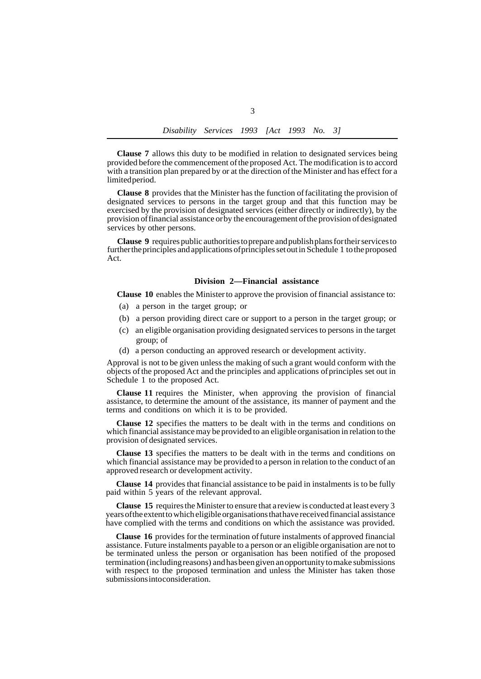**Clause 7** allows this duty to be modified in relation to designated services being provided before the commencement of the proposed Act. The modification is to accord with a transition plan prepared by or at the direction of the Minister and has effect for a limited period.

**Clause 8** provides that the Minister has the function of facilitating the provision of designated services to persons in the target group and that this function may be exercised by the provision of designated services (either directly or indirectly), by the provision of financial assistance or by the encouragement of the provision of designated services by other persons.

**Clause 9** requires public authorities to prepare and publish plans for their services to further the principles and applications of principles set out in Schedule 1 to the proposed Act.

### **Division 2—Financial assistance**

**Clause 10** enables the Minister to approve the provision of financial assistance to:

- (a) a person in the target group; or
- (b) a person providing direct care or support to a person in the target group; or
- (c) an eligible organisation providing designated services to persons in the target group; of
- (d) a person conducting an approved research or development activity.

Approval is not to be given unless the making of such a grant would conform with the objects of the proposed Act and the principles and applications of principles set out in Schedule 1 to the proposed Act.

**Clause 11** requires the Minister, when approving the provision of financial assistance, to determine the amount of the assistance, its manner of payment and the terms and conditions on which it is to be provided.

**Clause 12** specifies the matters to be dealt with in the terms and conditions on which financial assistance may be provided to an eligible organisation in relation to the provision of designated services.

**Clause 13** specifies the matters to be dealt with in the terms and conditions on which financial assistance may be provided to a person in relation to the conduct of an approved research or development activity.

**Clause 14** provides that financial assistance to be paid in instalments is to be fully paid within 5 years of the relevant approval.

**Clause 15** requires the Minister to ensure that a review is conducted at least every 3 years of the extent to which eligible organisations that have received financial assistance have complied with the terms and conditions on which the assistance was provided.

**Clause 16** provides for the termination of future instalments of approved financial assistance. Future instalments payable to a person or an eligible organisation are not to be terminated unless the person or organisation has been notified of the proposed termination (including reasons) and has been given an opportunity to make submissions with respect to the proposed termination and unless the Minister has taken those submissions into consideration.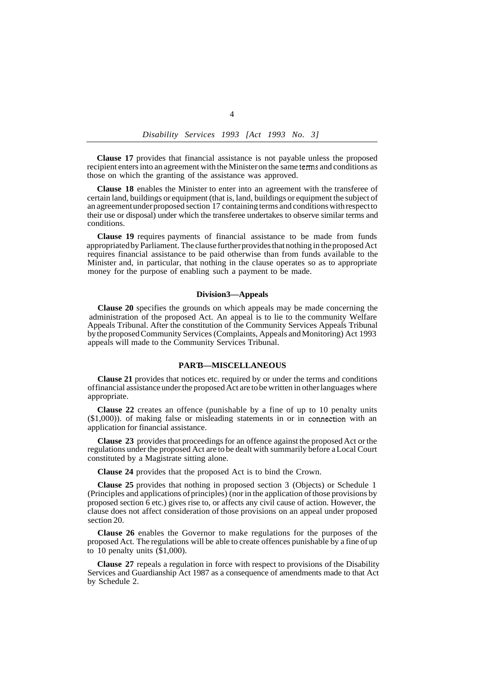*Disability Services 1993 [Act 1993 No. 3]* 

**Clause 17** provides that financial assistance is not payable unless the proposed recipient enters into an agreement with the Minister on the same terms and conditions as those on which the granting of the assistance was approved.

**Clause 18** enables the Minister to enter into an agreement with the transferee of certain land, buildings or equipment (that is, land, buildings or equipment the subject of an agreement under proposed section 17 containing terms and conditions with respect to their use or disposal) under which the transferee undertakes to observe similar terms and conditions.

**Clause 19** requires payments of financial assistance to be made from funds appropriated by Parliament. The clause further provides that nothing in the proposed Act requires financial assistance to be paid otherwise than from funds available to the Minister and, in particular, that nothing in the clause operates so as to appropriate money for the purpose of enabling such a payment to be made.

### **Division 3—Appeals**

**Clause 20** specifies the grounds on which appeals may be made concerning the administration of the proposed Act. An appeal is to lie to the community Welfare Appeals Tribunal. After the constitution of the Community Services Appeals Tribunal by the proposed Community Services (Complaints, Appeals and Monitoring) Act 1993 appeals will made to the Community Services Tribunal.

### **PART 3—MISCELLANEOUS**

**Clause 21** provides that notices etc. required by or under the terms and conditions of financial assistance under the proposed Act are to be written in other languages where appropriate.

**Clause 22** creates an offence (punishable by a fine of up to 10 penalty units (\$1,000)). of making false or misleading statements in or in connection with an application for financial assistance.

**Clause 23** provides that proceedings for an offence against the proposed Act or the regulations under the proposed Act are to be dealt with summarily before a Local Court constituted by a Magistrate sitting alone.

**Clause 24** provides that the proposed Act is to bind the Crown.

**Clause 25** provides that nothing in proposed section 3 (Objects) or Schedule 1 (Principles and applications of principles) (nor in the application of those provisions by proposed section 6 etc.) gives rise to, or affects any civil cause of action. However, the clause does not affect consideration of those provisions on an appeal under proposed section 20.

**Clause 26** enables the Governor to make regulations for the purposes of the proposed Act. The regulations will be able to create offences punishable by a fine of up to 10 penalty units (\$1,000).

**Clause 27** repeals a regulation in force with respect to provisions of the Disability Services and Guardianship Act 1987 as a consequence of amendments made to that Act by Schedule 2.